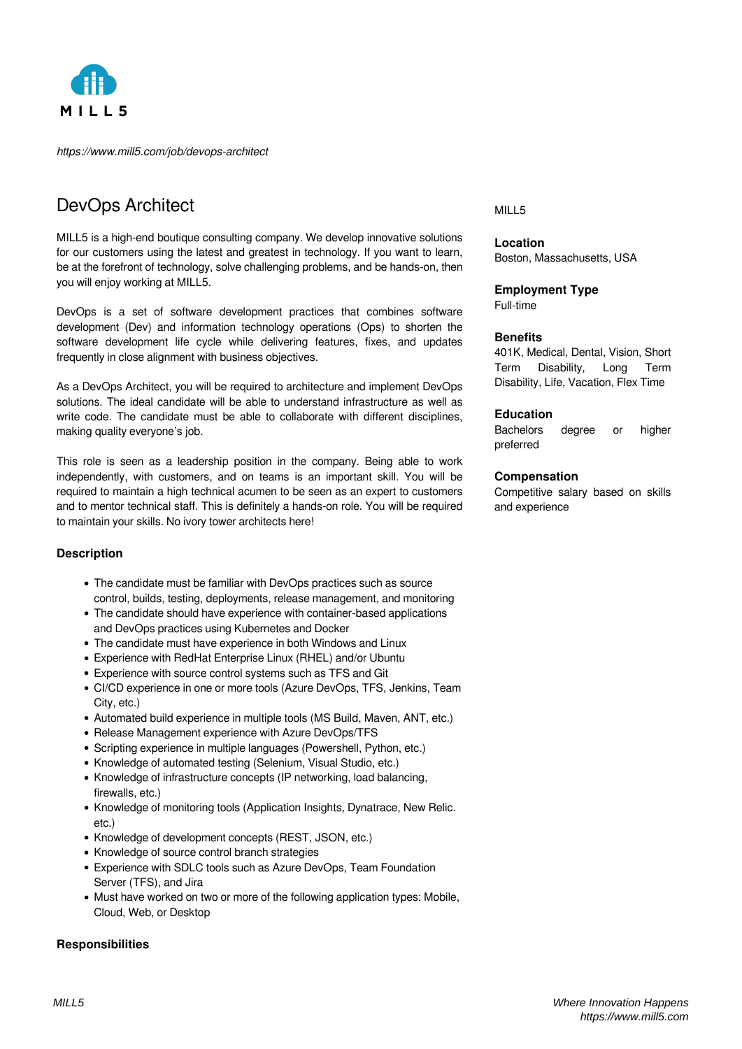

*https://www.mill5.com/job/devops-architect*

# DevOps Architect

MILL5 is a high-end boutique consulting company. We develop innovative solutions for our customers using the latest and greatest in technology. If you want to learn, be at the forefront of technology, solve challenging problems, and be hands-on, then you will enjoy working at MILL5.

DevOps is a set of software development practices that combines software development (Dev) and information technology operations (Ops) to shorten the software development life cycle while delivering features, fixes, and updates frequently in close alignment with business objectives.

As a DevOps Architect, you will be required to architecture and implement DevOps solutions. The ideal candidate will be able to understand infrastructure as well as write code. The candidate must be able to collaborate with different disciplines, making quality everyone's job.

This role is seen as a leadership position in the company. Being able to work independently, with customers, and on teams is an important skill. You will be required to maintain a high technical acumen to be seen as an expert to customers and to mentor technical staff. This is definitely a hands-on role. You will be required to maintain your skills. No ivory tower architects here!

# **Description**

- The candidate must be familiar with DevOps practices such as source control, builds, testing, deployments, release management, and monitoring
- The candidate should have experience with container-based applications and DevOps practices using Kubernetes and Docker
- The candidate must have experience in both Windows and Linux
- Experience with RedHat Enterprise Linux (RHEL) and/or Ubuntu
- Experience with source control systems such as TFS and Git
- CI/CD experience in one or more tools (Azure DevOps, TFS, Jenkins, Team City, etc.)
- Automated build experience in multiple tools (MS Build, Maven, ANT, etc.)
- Release Management experience with Azure DevOps/TFS
- Scripting experience in multiple languages (Powershell, Python, etc.)
- Knowledge of automated testing (Selenium, Visual Studio, etc.)
- Knowledge of infrastructure concepts (IP networking, load balancing, firewalls, etc.)
- Knowledge of monitoring tools (Application Insights, Dynatrace, New Relic. etc.)
- Knowledge of development concepts (REST, JSON, etc.)
- Knowledge of source control branch strategies
- Experience with SDLC tools such as Azure DevOps, Team Foundation Server (TFS), and Jira
- Must have worked on two or more of the following application types: Mobile, Cloud, Web, or Desktop

# **Responsibilities**

# MILL5

**Location** Boston, Massachusetts, USA

# **Employment Type**

Full-time

# **Benefits**

401K, Medical, Dental, Vision, Short Term Disability, Long Term Disability, Life, Vacation, Flex Time

#### **Education**

Bachelors degree or higher preferred

#### **Compensation**

Competitive salary based on skills and experience